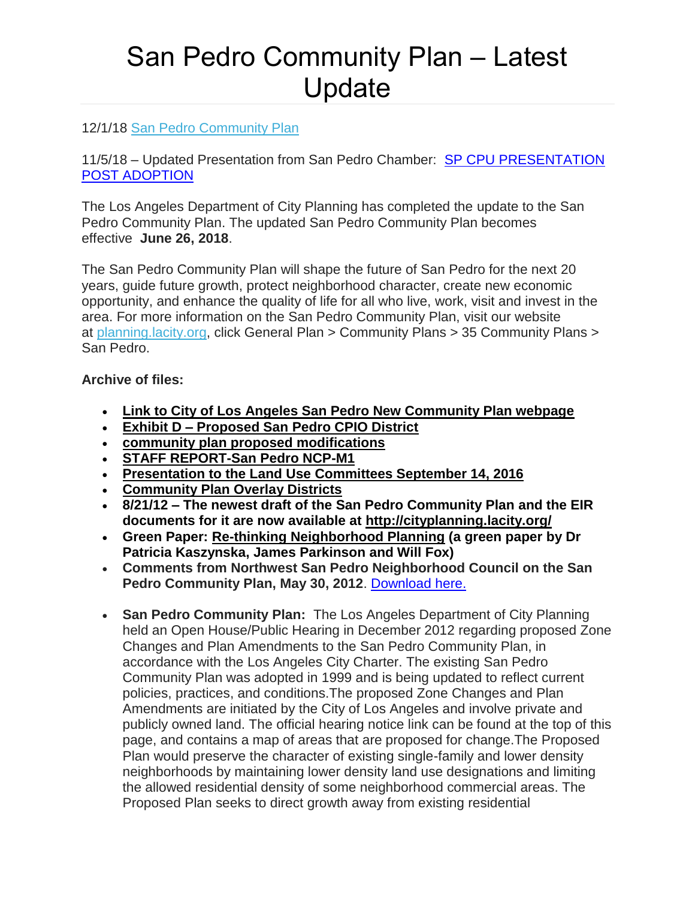## San Pedro Community Plan – Latest Update

## 12/1/18 [San Pedro Community Plan](https://planning.lacity.org/complan/pdf/spdcptxt.pdf)

11/5/18 – Updated Presentation from San Pedro Chamber: [SP CPU PRESENTATION](https://drive.google.com/file/d/1aHdp03PVpdI6kZtikGt-JzLBaMH2TRCg/view?usp=sharing)  [POST ADOPTION](https://drive.google.com/file/d/1aHdp03PVpdI6kZtikGt-JzLBaMH2TRCg/view?usp=sharing)

The Los Angeles Department of City Planning has completed the update to the San Pedro Community Plan. The updated San Pedro Community Plan becomes effective **June 26, 2018**.

The San Pedro Community Plan will shape the future of San Pedro for the next 20 years, guide future growth, protect neighborhood character, create new economic opportunity, and enhance the quality of life for all who live, work, visit and invest in the area. For more information on the San Pedro Community Plan, visit our website at [planning.lacity.org,](http://planning.lacity.org/) click General Plan > Community Plans > 35 Community Plans > San Pedro.

## **Archive of files:**

- **[Link to City of Los Angeles San Pedro New Community Plan webpage](https://sites.google.com/site/sanpedrocommunityplan/)**
- **Exhibit D – [Proposed San Pedro CPIO District](https://drive.google.com/file/d/1Bb_a-77TH0_9ht1K-aQKP52WDpofF_HP/view?usp=sharing)**
- **[community plan proposed modifications](https://drive.google.com/file/d/1Rjr0B76FqpOCtq5ZIMRkQ98xNB8VcVef/view?usp=sharing)**
- **[STAFF REPORT-San Pedro NCP-M1](https://drive.google.com/file/d/1eu-J6ZDhUDoNdq48UAkUR-Jx8u2mbpOc/view?usp=sharing)**
- **[Presentation to the Land Use Committees September 14, 2016](https://drive.google.com/file/d/1DCWrcQejP1cR51xkQb1A9fRw6vmgzH0x/view?usp=sharing)**
- **[Community Plan Overlay Districts](http://planning.lacity.org/complan/othrplan/pdf/DowntownSanPedroCDO.pdf)**
- **8/21/12 – The newest draft of the San Pedro Community Plan and the EIR documents for it are now available at <http://cityplanning.lacity.org/>**
- **Green Paper: [Re-thinking Neighborhood Planning](http://www.architecture.com/Files/RIBAHoldings/PolicyAndInternationalRelations/Policy/RIBAResPublica-Re-thinkingNeighbourhoodPlanning.pdf) (a green paper by Dr Patricia Kaszynska, James Parkinson and Will Fox)**
- **Comments from Northwest San Pedro Neighborhood Council on the San Pedro Community Plan, May 30, 2012**. [Download here.](https://drive.google.com/file/d/1-LxpUv_nTYdETImXT1TEH2U9meytK9yq/view?usp=sharing)
- **San Pedro Community Plan:** The Los Angeles Department of City Planning held an Open House/Public Hearing in December 2012 regarding proposed Zone Changes and Plan Amendments to the San Pedro Community Plan, in accordance with the Los Angeles City Charter. The existing San Pedro Community Plan was adopted in 1999 and is being updated to reflect current policies, practices, and conditions.The proposed Zone Changes and Plan Amendments are initiated by the City of Los Angeles and involve private and publicly owned land. The official hearing notice link can be found at the top of this page, and contains a map of areas that are proposed for change.The Proposed Plan would preserve the character of existing single-family and lower density neighborhoods by maintaining lower density land use designations and limiting the allowed residential density of some neighborhood commercial areas. The Proposed Plan seeks to direct growth away from existing residential